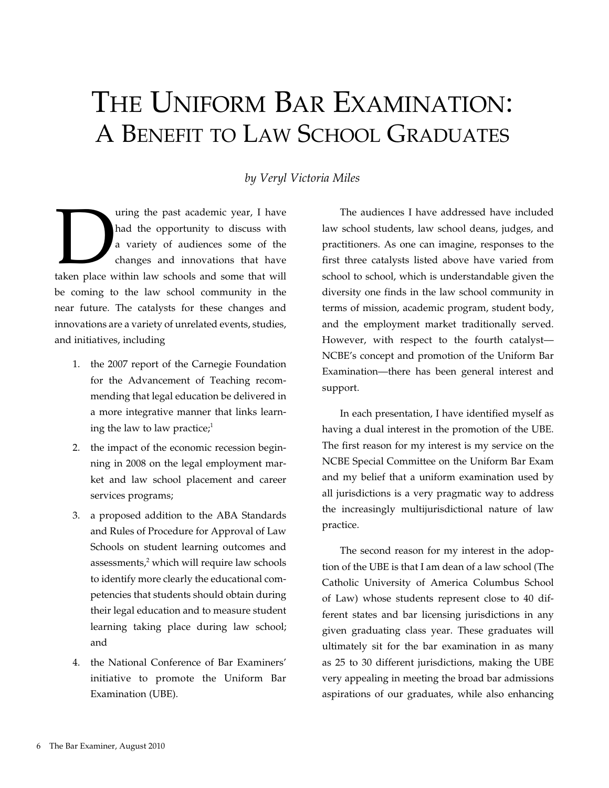# The Uniform Bar Examination: A Benefit to Law School Graduates

## *by Veryl Victoria Miles*

a using the past academic year, I have had the opportunity to discuss with a variety of audiences some of the changes and innovations that have taken place within law schools and some that will had the opportunity to discuss with a variety of audiences some of the changes and innovations that have be coming to the law school community in the near future. The catalysts for these changes and innovations are a variety of unrelated events, studies, and initiatives, including

- 1. the 2007 report of the Carnegie Foundation for the Advancement of Teaching recommending that legal education be delivered in a more integrative manner that links learning the law to law practice; $<sup>1</sup>$ </sup>
- 2. the impact of the economic recession beginning in 2008 on the legal employment market and law school placement and career services programs;
- 3. a proposed addition to the ABA Standards and Rules of Procedure for Approval of Law Schools on student learning outcomes and assessments, $2$  which will require law schools to identify more clearly the educational competencies that students should obtain during their legal education and to measure student learning taking place during law school; and
- 4. the National Conference of Bar Examiners' initiative to promote the Uniform Bar Examination (UBE).

The audiences I have addressed have included law school students, law school deans, judges, and practitioners. As one can imagine, responses to the first three catalysts listed above have varied from school to school, which is understandable given the diversity one finds in the law school community in terms of mission, academic program, student body, and the employment market traditionally served. However, with respect to the fourth catalyst— NCBE's concept and promotion of the Uniform Bar Examination—there has been general interest and support.

In each presentation, I have identified myself as having a dual interest in the promotion of the UBE. The first reason for my interest is my service on the NCBE Special Committee on the Uniform Bar Exam and my belief that a uniform examination used by all jurisdictions is a very pragmatic way to address the increasingly multijurisdictional nature of law practice.

The second reason for my interest in the adoption of the UBE is that I am dean of a law school (The Catholic University of America Columbus School of Law) whose students represent close to 40 different states and bar licensing jurisdictions in any given graduating class year. These graduates will ultimately sit for the bar examination in as many as 25 to 30 different jurisdictions, making the UBE very appealing in meeting the broad bar admissions aspirations of our graduates, while also enhancing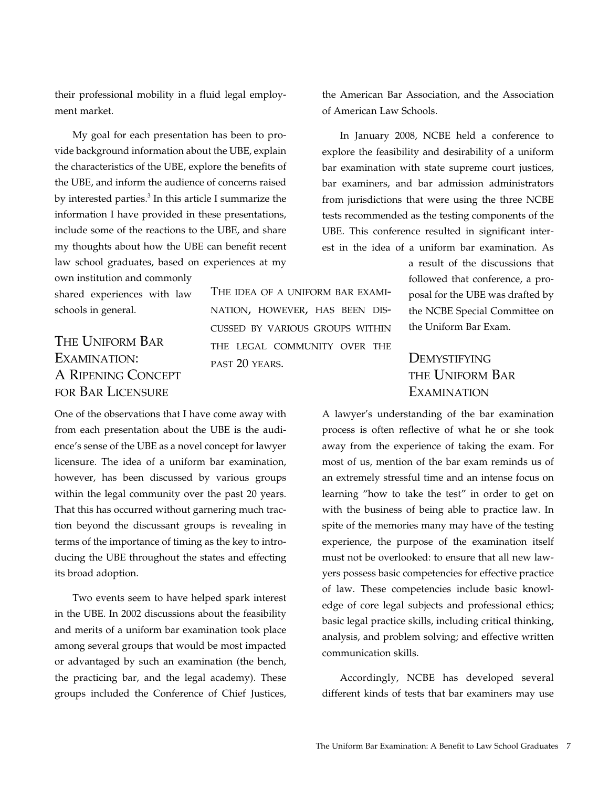their professional mobility in a fluid legal employment market.

My goal for each presentation has been to provide background information about the UBE, explain the characteristics of the UBE, explore the benefits of the UBE, and inform the audience of concerns raised by interested parties.<sup>3</sup> In this article I summarize the information I have provided in these presentations, include some of the reactions to the UBE, and share my thoughts about how the UBE can benefit recent law school graduates, based on experiences at my own institution and commonly

shared experiences with law schools in general.

# The Uniform Bar Examination: A Ripening Concept for Bar Licensure

The idea of a uniform bar examination, however, has been discussed by various groups within the legal community over the past 20 years.

One of the observations that I have come away with from each presentation about the UBE is the audience's sense of the UBE as a novel concept for lawyer licensure. The idea of a uniform bar examination, however, has been discussed by various groups within the legal community over the past 20 years. That this has occurred without garnering much traction beyond the discussant groups is revealing in terms of the importance of timing as the key to introducing the UBE throughout the states and effecting its broad adoption.

Two events seem to have helped spark interest in the UBE. In 2002 discussions about the feasibility and merits of a uniform bar examination took place among several groups that would be most impacted or advantaged by such an examination (the bench, the practicing bar, and the legal academy). These groups included the Conference of Chief Justices,

the American Bar Association, and the Association of American Law Schools.

In January 2008, NCBE held a conference to explore the feasibility and desirability of a uniform bar examination with state supreme court justices, bar examiners, and bar admission administrators from jurisdictions that were using the three NCBE tests recommended as the testing components of the UBE. This conference resulted in significant interest in the idea of a uniform bar examination. As

> a result of the discussions that followed that conference, a proposal for the UBE was drafted by the NCBE Special Committee on the Uniform Bar Exam.

# **DEMYSTIFYING** the Uniform Bar **EXAMINATION**

A lawyer's understanding of the bar examination process is often reflective of what he or she took away from the experience of taking the exam. For most of us, mention of the bar exam reminds us of an extremely stressful time and an intense focus on learning "how to take the test" in order to get on with the business of being able to practice law. In spite of the memories many may have of the testing experience, the purpose of the examination itself must not be overlooked: to ensure that all new lawyers possess basic competencies for effective practice of law. These competencies include basic knowledge of core legal subjects and professional ethics; basic legal practice skills, including critical thinking, analysis, and problem solving; and effective written communication skills.

Accordingly, NCBE has developed several different kinds of tests that bar examiners may use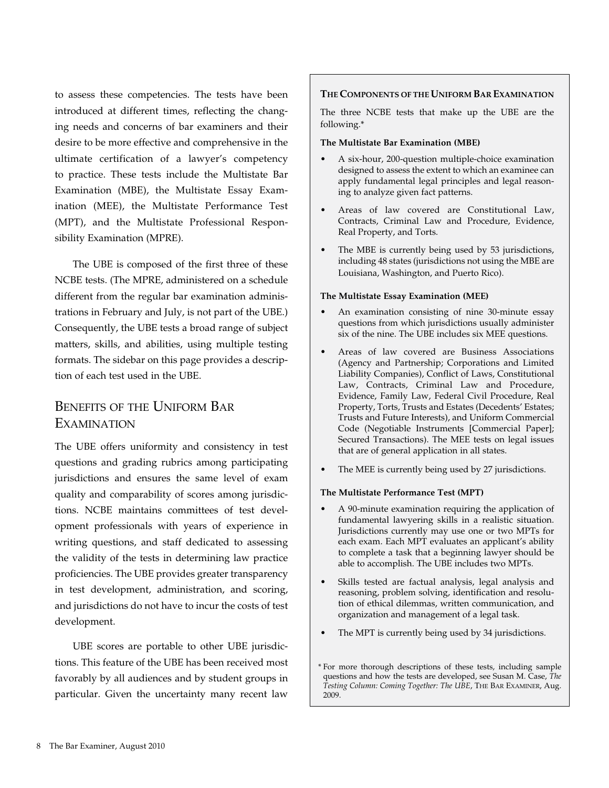to assess these competencies. The tests have been introduced at different times, reflecting the changing needs and concerns of bar examiners and their desire to be more effective and comprehensive in the ultimate certification of a lawyer's competency to practice. These tests include the Multistate Bar Examination (MBE), the Multistate Essay Examination (MEE), the Multistate Performance Test (MPT), and the Multistate Professional Responsibility Examination (MPRE).

The UBE is composed of the first three of these NCBE tests. (The MPRE, administered on a schedule different from the regular bar examination administrations in February and July, is not part of the UBE.) Consequently, the UBE tests a broad range of subject matters, skills, and abilities, using multiple testing formats. The sidebar on this page provides a description of each test used in the UBE.

# Benefits of the Uniform Bar **EXAMINATION**

The UBE offers uniformity and consistency in test questions and grading rubrics among participating jurisdictions and ensures the same level of exam quality and comparability of scores among jurisdictions. NCBE maintains committees of test development professionals with years of experience in writing questions, and staff dedicated to assessing the validity of the tests in determining law practice proficiencies. The UBE provides greater transparency in test development, administration, and scoring, and jurisdictions do not have to incur the costs of test development.

UBE scores are portable to other UBE jurisdictions. This feature of the UBE has been received most favorably by all audiences and by student groups in particular. Given the uncertainty many recent law

#### **The Components of the Uniform Bar Examination**

The three NCBE tests that make up the UBE are the following.\*

#### **The Multistate Bar Examination (MBE)**

- A six-hour, 200-question multiple-choice examination designed to assess the extent to which an examinee can apply fundamental legal principles and legal reasoning to analyze given fact patterns.
- Areas of law covered are Constitutional Law, Contracts, Criminal Law and Procedure, Evidence, Real Property, and Torts.
- The MBE is currently being used by 53 jurisdictions, including 48 states (jurisdictions not using the MBE are Louisiana, Washington, and Puerto Rico).

#### **The Multistate Essay Examination (MEE)**

- An examination consisting of nine 30-minute essay questions from which jurisdictions usually administer six of the nine. The UBE includes six MEE questions.
- • Areas of law covered are Business Associations (Agency and Partnership; Corporations and Limited Liability Companies), Conflict of Laws, Constitutional Law, Contracts, Criminal Law and Procedure, Evidence, Family Law, Federal Civil Procedure, Real Property, Torts, Trusts and Estates (Decedents' Estates; Trusts and Future Interests), and Uniform Commercial Code (Negotiable Instruments [Commercial Paper]; Secured Transactions). The MEE tests on legal issues that are of general application in all states.
- The MEE is currently being used by 27 jurisdictions.

#### **The Multistate Performance Test (MPT)**

- A 90-minute examination requiring the application of fundamental lawyering skills in a realistic situation. Jurisdictions currently may use one or two MPTs for each exam. Each MPT evaluates an applicant's ability to complete a task that a beginning lawyer should be able to accomplish. The UBE includes two MPTs.
- • Skills tested are factual analysis, legal analysis and reasoning, problem solving, identification and resolution of ethical dilemmas, written communication, and organization and management of a legal task.
- The MPT is currently being used by 34 jurisdictions.
- \* For more thorough descriptions of these tests, including sample questions and how the tests are developed, see Susan M. Case, *The Testing Column: Coming Together: The UBE*, The Bar Examiner, Aug. 2009.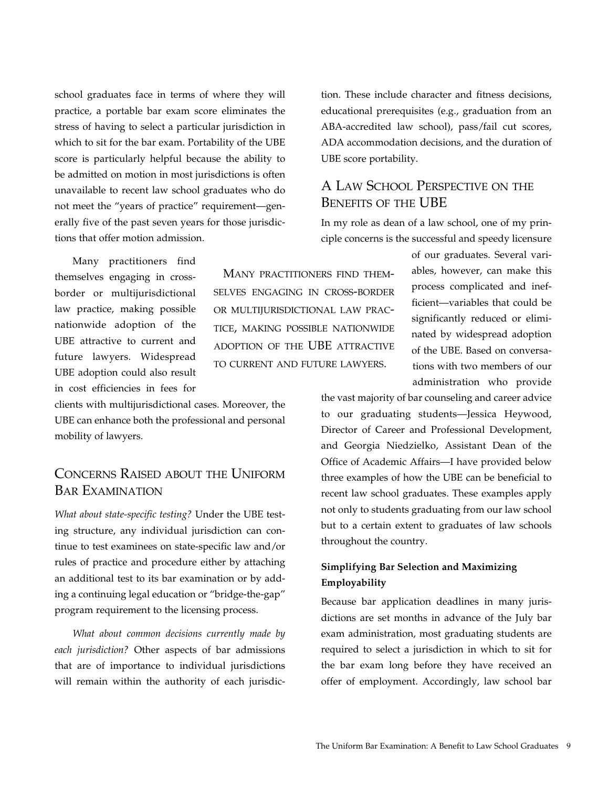school graduates face in terms of where they will practice, a portable bar exam score eliminates the stress of having to select a particular jurisdiction in which to sit for the bar exam. Portability of the UBE score is particularly helpful because the ability to be admitted on motion in most jurisdictions is often unavailable to recent law school graduates who do not meet the "years of practice" requirement—generally five of the past seven years for those jurisdictions that offer motion admission.

Many practitioners find themselves engaging in crossborder or multijurisdictional law practice, making possible nationwide adoption of the UBE attractive to current and future lawyers. Widespread UBE adoption could also result in cost efficiencies in fees for

clients with multijurisdictional cases. Moreover, the UBE can enhance both the professional and personal mobility of lawyers.

## Concerns Raised about the Uniform Bar Examination

*What about state-specific testing?* Under the UBE testing structure, any individual jurisdiction can continue to test examinees on state-specific law and/or rules of practice and procedure either by attaching an additional test to its bar examination or by adding a continuing legal education or "bridge-the-gap" program requirement to the licensing process.

*What about common decisions currently made by each jurisdiction?* Other aspects of bar admissions that are of importance to individual jurisdictions will remain within the authority of each jurisdiction. These include character and fitness decisions, educational prerequisites (e.g., graduation from an ABA-accredited law school), pass/fail cut scores, ADA accommodation decisions, and the duration of UBE score portability.

## A Law School Perspective on the Benefits of the UBE

In my role as dean of a law school, one of my principle concerns is the successful and speedy licensure

 Many practitioners find themselves engaging in cross-border or multijurisdictional law practice, making possible nationwide adoption of the UBE attractive to current and future lawyers.

of our graduates. Several variables, however, can make this process complicated and inefficient—variables that could be significantly reduced or eliminated by widespread adoption of the UBE. Based on conversations with two members of our administration who provide

the vast majority of bar counseling and career advice to our graduating students—Jessica Heywood, Director of Career and Professional Development, and Georgia Niedzielko, Assistant Dean of the Office of Academic Affairs—I have provided below three examples of how the UBE can be beneficial to recent law school graduates. These examples apply not only to students graduating from our law school but to a certain extent to graduates of law schools throughout the country.

## **Simplifying Bar Selection and Maximizing Employability**

Because bar application deadlines in many jurisdictions are set months in advance of the July bar exam administration, most graduating students are required to select a jurisdiction in which to sit for the bar exam long before they have received an offer of employment. Accordingly, law school bar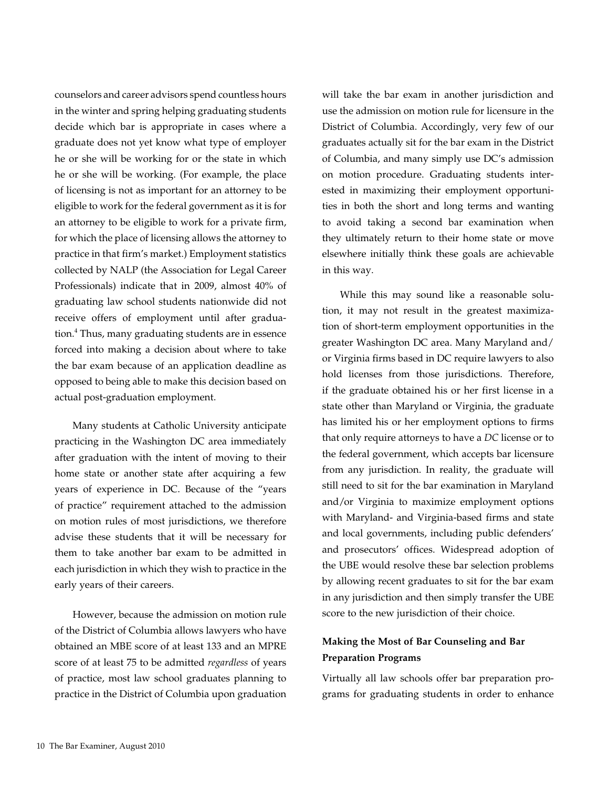counselors and career advisors spend countless hours in the winter and spring helping graduating students decide which bar is appropriate in cases where a graduate does not yet know what type of employer he or she will be working for or the state in which he or she will be working. (For example, the place of licensing is not as important for an attorney to be eligible to work for the federal government as it is for an attorney to be eligible to work for a private firm, for which the place of licensing allows the attorney to practice in that firm's market.) Employment statistics collected by NALP (the Association for Legal Career Professionals) indicate that in 2009, almost 40% of graduating law school students nationwide did not receive offers of employment until after graduation.<sup>4</sup> Thus, many graduating students are in essence forced into making a decision about where to take the bar exam because of an application deadline as opposed to being able to make this decision based on actual post-graduation employment.

Many students at Catholic University anticipate practicing in the Washington DC area immediately after graduation with the intent of moving to their home state or another state after acquiring a few years of experience in DC. Because of the "years of practice" requirement attached to the admission on motion rules of most jurisdictions, we therefore advise these students that it will be necessary for them to take another bar exam to be admitted in each jurisdiction in which they wish to practice in the early years of their careers.

However, because the admission on motion rule of the District of Columbia allows lawyers who have obtained an MBE score of at least 133 and an MPRE score of at least 75 to be admitted *regardless* of years of practice, most law school graduates planning to practice in the District of Columbia upon graduation will take the bar exam in another jurisdiction and use the admission on motion rule for licensure in the District of Columbia. Accordingly, very few of our graduates actually sit for the bar exam in the District of Columbia, and many simply use DC's admission on motion procedure. Graduating students interested in maximizing their employment opportunities in both the short and long terms and wanting to avoid taking a second bar examination when they ultimately return to their home state or move elsewhere initially think these goals are achievable in this way.

While this may sound like a reasonable solution, it may not result in the greatest maximization of short-term employment opportunities in the greater Washington DC area. Many Maryland and/ or Virginia firms based in DC require lawyers to also hold licenses from those jurisdictions. Therefore, if the graduate obtained his or her first license in a state other than Maryland or Virginia, the graduate has limited his or her employment options to firms that only require attorneys to have a *DC* license or to the federal government, which accepts bar licensure from any jurisdiction. In reality, the graduate will still need to sit for the bar examination in Maryland and/or Virginia to maximize employment options with Maryland- and Virginia-based firms and state and local governments, including public defenders' and prosecutors' offices. Widespread adoption of the UBE would resolve these bar selection problems by allowing recent graduates to sit for the bar exam in any jurisdiction and then simply transfer the UBE score to the new jurisdiction of their choice.

## **Making the Most of Bar Counseling and Bar Preparation Programs**

Virtually all law schools offer bar preparation programs for graduating students in order to enhance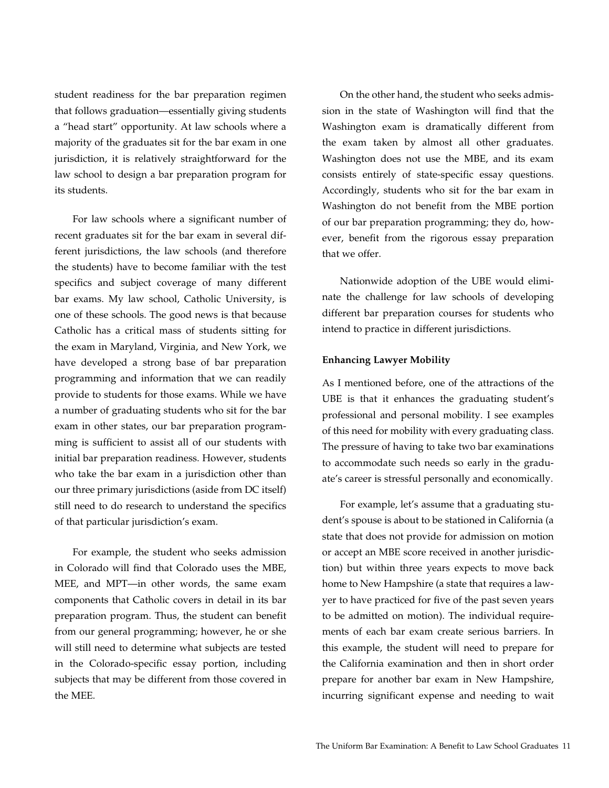student readiness for the bar preparation regimen that follows graduation—essentially giving students a "head start" opportunity. At law schools where a majority of the graduates sit for the bar exam in one jurisdiction, it is relatively straightforward for the law school to design a bar preparation program for its students.

For law schools where a significant number of recent graduates sit for the bar exam in several different jurisdictions, the law schools (and therefore the students) have to become familiar with the test specifics and subject coverage of many different bar exams. My law school, Catholic University, is one of these schools. The good news is that because Catholic has a critical mass of students sitting for the exam in Maryland, Virginia, and New York, we have developed a strong base of bar preparation programming and information that we can readily provide to students for those exams. While we have a number of graduating students who sit for the bar exam in other states, our bar preparation programming is sufficient to assist all of our students with initial bar preparation readiness. However, students who take the bar exam in a jurisdiction other than our three primary jurisdictions (aside from DC itself) still need to do research to understand the specifics of that particular jurisdiction's exam.

For example, the student who seeks admission in Colorado will find that Colorado uses the MBE, MEE, and MPT—in other words, the same exam components that Catholic covers in detail in its bar preparation program. Thus, the student can benefit from our general programming; however, he or she will still need to determine what subjects are tested in the Colorado-specific essay portion, including subjects that may be different from those covered in the MEE.

On the other hand, the student who seeks admission in the state of Washington will find that the Washington exam is dramatically different from the exam taken by almost all other graduates. Washington does not use the MBE, and its exam consists entirely of state-specific essay questions. Accordingly, students who sit for the bar exam in Washington do not benefit from the MBE portion of our bar preparation programming; they do, however, benefit from the rigorous essay preparation that we offer.

Nationwide adoption of the UBE would eliminate the challenge for law schools of developing different bar preparation courses for students who intend to practice in different jurisdictions.

#### **Enhancing Lawyer Mobility**

As I mentioned before, one of the attractions of the UBE is that it enhances the graduating student's professional and personal mobility. I see examples of this need for mobility with every graduating class. The pressure of having to take two bar examinations to accommodate such needs so early in the graduate's career is stressful personally and economically.

For example, let's assume that a graduating student's spouse is about to be stationed in California (a state that does not provide for admission on motion or accept an MBE score received in another jurisdiction) but within three years expects to move back home to New Hampshire (a state that requires a lawyer to have practiced for five of the past seven years to be admitted on motion). The individual requirements of each bar exam create serious barriers. In this example, the student will need to prepare for the California examination and then in short order prepare for another bar exam in New Hampshire, incurring significant expense and needing to wait